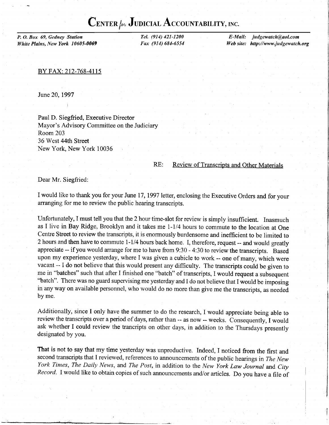## CENTER  $\rho_{\nu}$  Judicial Accountability, inc.

P. O. Box 69, Gedney Station White Plains, New York 10605-0069 Tel. (914) 421-1200 Fax (914) 684-6554

E-Mail: judgewatch@4ol.com Web site: http://www.judgewatch.org

BY FAX:212-768-4115

June 20, 1997

Paul D. Siegfried, Executive Director Mayor's Advisory Committee on the Judiciary Room 203 36 West 44th Street New York. New York 10036

## RE: Review of Transcripts and Other Materials

Dear Mr. Siegfried:

I would like to thank you for your June 17, 1997 letter, enclosing the Executive Orders and for your arranging for me to review the public hearing transcripts.

Unfortunately, I must tell you that the 2 hour time-slot for review is simply insufficient. Inasmuch as I live in Bay Ridge, Brooklyn and it takes me 1-1/4 hours to commute to the location at One Centre Street to review the transcripts, it is enormously burdensome and inefficient to be limited to 2 hours and then have to commute 1-1/4 hours back home. I, therefore, request -- and would greatly appreciate - if you would arrange for me to have from 9:30 - 4:30 to review the transcripts. Based upon my experience yesterday, where I was given a cubicle to work -- one of many, which were vacant -- I do not believe that this would present any difficulty. The transcripts could be given to me in "batches" such that after I finished one "batch" of transcripts, I would request a subsequent "batch". There was no guard supervising me yesterday and I do not believe that I would be imposing in any way on available personnel, who would do no more than give me the transcripts, as needed by me.

Additionally, since I only have the summer to do the research, I would appreciate being able to review the transcripts over a period of days, rather than -- as now -- weeks. Consequently, I would ask whether I could review the trancripts on other days, in addition to the Thursdays presently designated by you.

That is not to say that my time yesterday was unproductive. Indeed, I noticed from the first and second transcripts that I reviewed, references to announcements of the public hearings in The New York Times, The Daily News, and The Post, in addition to the New York Law Journal and City Record. I would like to obtain copies of such announcements and/or articles. Do you have a file of